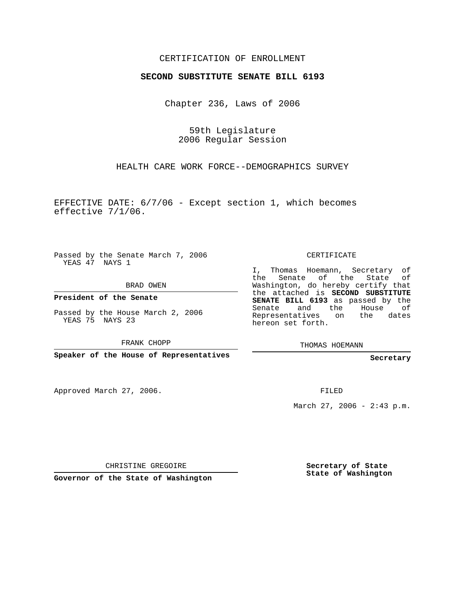## CERTIFICATION OF ENROLLMENT

## **SECOND SUBSTITUTE SENATE BILL 6193**

Chapter 236, Laws of 2006

59th Legislature 2006 Regular Session

HEALTH CARE WORK FORCE--DEMOGRAPHICS SURVEY

EFFECTIVE DATE: 6/7/06 - Except section 1, which becomes effective 7/1/06.

Passed by the Senate March 7, 2006 YEAS 47 NAYS 1

BRAD OWEN

**President of the Senate**

Passed by the House March 2, 2006 YEAS 75 NAYS 23

FRANK CHOPP

**Speaker of the House of Representatives**

Approved March 27, 2006.

CERTIFICATE

I, Thomas Hoemann, Secretary of the Senate of the State Washington, do hereby certify that the attached is **SECOND SUBSTITUTE SENATE BILL 6193** as passed by the Senate and the House of Representatives on the dates hereon set forth.

THOMAS HOEMANN

**Secretary**

FILED

March 27, 2006 - 2:43 p.m.

CHRISTINE GREGOIRE

**Governor of the State of Washington**

**Secretary of State State of Washington**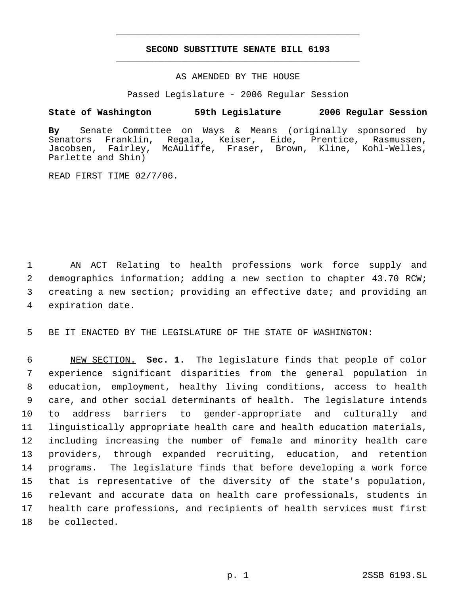## **SECOND SUBSTITUTE SENATE BILL 6193** \_\_\_\_\_\_\_\_\_\_\_\_\_\_\_\_\_\_\_\_\_\_\_\_\_\_\_\_\_\_\_\_\_\_\_\_\_\_\_\_\_\_\_\_\_

\_\_\_\_\_\_\_\_\_\_\_\_\_\_\_\_\_\_\_\_\_\_\_\_\_\_\_\_\_\_\_\_\_\_\_\_\_\_\_\_\_\_\_\_\_

AS AMENDED BY THE HOUSE

Passed Legislature - 2006 Regular Session

## **State of Washington 59th Legislature 2006 Regular Session**

**By** Senate Committee on Ways & Means (originally sponsored by Senators Franklin, Regala, Keiser, Eide, Prentice, Rasmussen, Jacobsen, Fairley, McAuliffe, Fraser, Brown, Kline, Kohl-Welles, Parlette and Shin)

READ FIRST TIME 02/7/06.

 AN ACT Relating to health professions work force supply and demographics information; adding a new section to chapter 43.70 RCW; creating a new section; providing an effective date; and providing an expiration date.

5 BE IT ENACTED BY THE LEGISLATURE OF THE STATE OF WASHINGTON:

 NEW SECTION. **Sec. 1.** The legislature finds that people of color experience significant disparities from the general population in education, employment, healthy living conditions, access to health care, and other social determinants of health. The legislature intends to address barriers to gender-appropriate and culturally and linguistically appropriate health care and health education materials, including increasing the number of female and minority health care providers, through expanded recruiting, education, and retention programs. The legislature finds that before developing a work force that is representative of the diversity of the state's population, relevant and accurate data on health care professionals, students in health care professions, and recipients of health services must first be collected.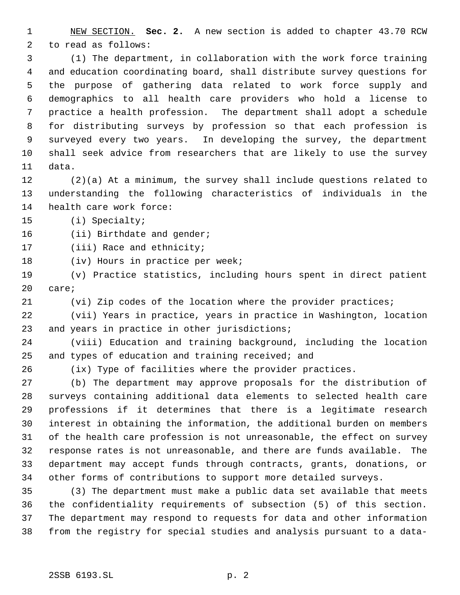NEW SECTION. **Sec. 2.** A new section is added to chapter 43.70 RCW to read as follows:

 (1) The department, in collaboration with the work force training and education coordinating board, shall distribute survey questions for the purpose of gathering data related to work force supply and demographics to all health care providers who hold a license to practice a health profession. The department shall adopt a schedule for distributing surveys by profession so that each profession is surveyed every two years. In developing the survey, the department shall seek advice from researchers that are likely to use the survey data.

 (2)(a) At a minimum, the survey shall include questions related to understanding the following characteristics of individuals in the health care work force:

(i) Specialty;

16 (ii) Birthdate and gender;

(iii) Race and ethnicity;

18 (iv) Hours in practice per week;

 (v) Practice statistics, including hours spent in direct patient care;

(vi) Zip codes of the location where the provider practices;

 (vii) Years in practice, years in practice in Washington, location 23 and years in practice in other jurisdictions;

 (viii) Education and training background, including the location and types of education and training received; and

(ix) Type of facilities where the provider practices.

 (b) The department may approve proposals for the distribution of surveys containing additional data elements to selected health care professions if it determines that there is a legitimate research interest in obtaining the information, the additional burden on members of the health care profession is not unreasonable, the effect on survey response rates is not unreasonable, and there are funds available. The department may accept funds through contracts, grants, donations, or other forms of contributions to support more detailed surveys.

 (3) The department must make a public data set available that meets the confidentiality requirements of subsection (5) of this section. The department may respond to requests for data and other information from the registry for special studies and analysis pursuant to a data